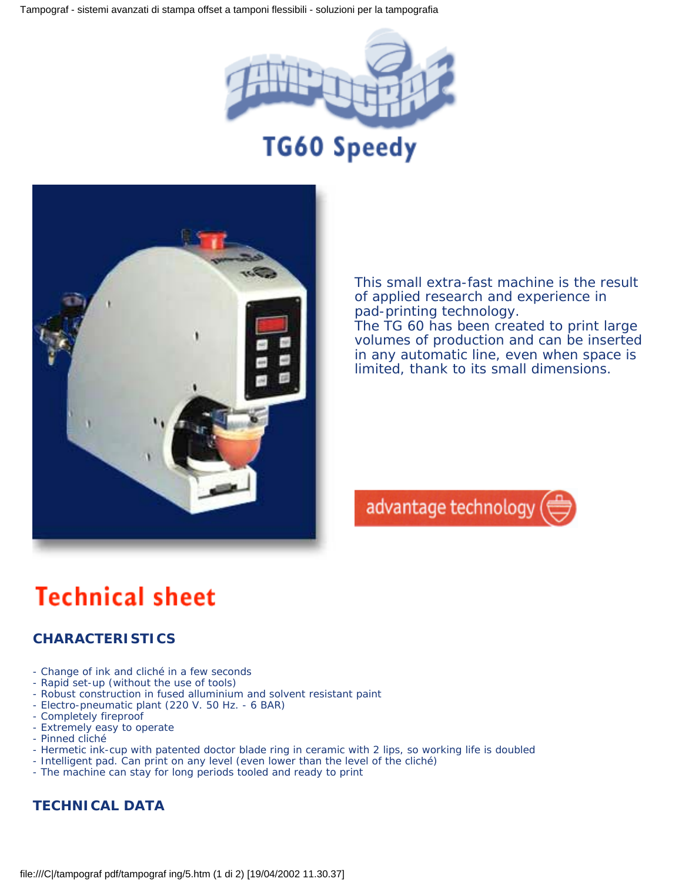Tampograf - sistemi avanzati di stampa offset a tamponi flessibili - soluzioni per la tampografia





This small extra-fast machine is the result of applied research and experience in pad-printing technology.

The TG 60 has been created to print large volumes of production and can be inserted in any automatic line, even when space is limited, thank to its small dimensions.



## **Technical sheet**

## **CHARACTERISTICS**

- Change of ink and cliché in a few seconds
- Rapid set-up (without the use of tools)
- Robust construction in fused alluminium and solvent resistant paint
- Electro-pneumatic plant (220 V. 50 Hz. 6 BAR)
- Completely fireproof
- Extremely easy to operate
- Pinned cliché
- Hermetic ink-cup with patented doctor blade ring in ceramic with 2 lips, so working life is doubled
- Intelligent pad. Can print on any level (even lower than the level of the cliché)
- The machine can stay for long periods tooled and ready to print

## **TECHNICAL DATA**